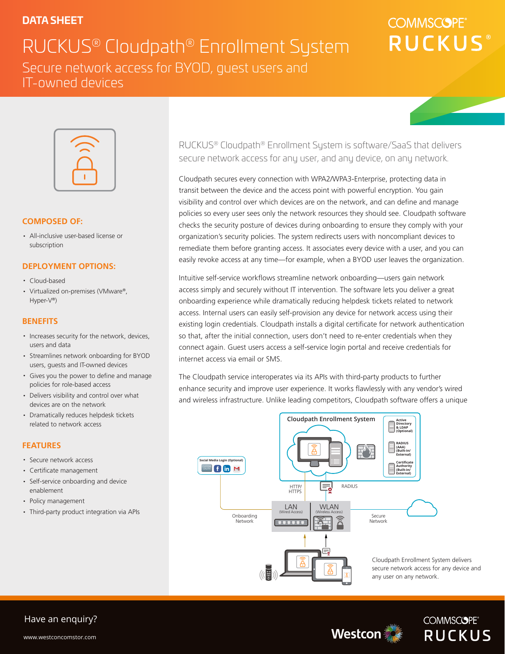# **DATA SHEET**

RUCKUS® Cloudpath® Enrollment System Secure network access for BYOD, guest users and IT-owned devices

# **COMMSCOPE RUCKUS**



#### **COMPOSED OF:**

· All-inclusive user-based license or subscription

#### **DEPLOYMENT OPTIONS:**

- · Cloud-based
- · Virtualized on-premises (VMware®, Hyper-V®)

#### **BENEFITS**

- · Increases security for the network, devices, users and data
- · Streamlines network onboarding for BYOD users, guests and IT-owned devices
- · Gives you the power to define and manage policies for role-based access
- · Delivers visibility and control over what devices are on the network
- · Dramatically reduces helpdesk tickets related to network access

#### **FEATURES**

- · Secure network access
- · Certificate management
- · Self-service onboarding and device enablement
- · Policy management
- · Third-party product integration via APIs

RUCKUS® Cloudpath® Enrollment System is software/SaaS that delivers secure network access for any user, and any device, on any network.

Cloudpath secures every connection with WPA2/WPA3-Enterprise, protecting data in transit between the device and the access point with powerful encryption. You gain visibility and control over which devices are on the network, and can define and manage policies so every user sees only the network resources they should see. Cloudpath software checks the security posture of devices during onboarding to ensure they comply with your organization's security policies. The system redirects users with noncompliant devices to remediate them before granting access. It associates every device with a user, and you can easily revoke access at any time—for example, when a BYOD user leaves the organization.

Intuitive self-service workflows streamline network onboarding—users gain network access simply and securely without IT intervention. The software lets you deliver a great onboarding experience while dramatically reducing helpdesk tickets related to network access. Internal users can easily self-provision any device for network access using their existing login credentials. Cloudpath installs a digital certificate for network authentication so that, after the initial connection, users don't need to re-enter credentials when they connect again. Guest users access a self-service login portal and receive credentials for internet access via email or SMS.

The Cloudpath service interoperates via its APIs with third-party products to further enhance security and improve user experience. It works flawlessly with any vendor's wired and wireless infrastructure. Unlike leading competitors, Cloudpath software offers a unique



Cloudpath Enrollment System delivers secure network access for any device and





## Have an enquiry?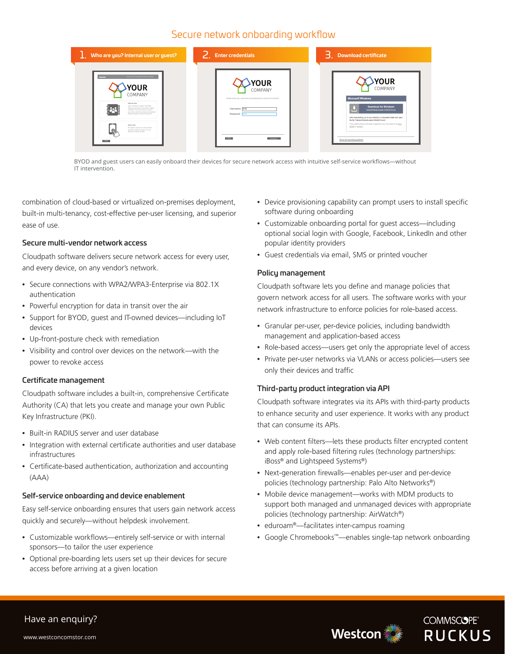### Secure network onboarding workflow

| Who are you? Internal user or guest?                                                                                                                                                                                                                                                                                                                                                                                                   | <b>Enter credentials</b>                                                                                                                            | $\overline{\mathsf{B}}$ . Download certificate                                                                                                                                                                                                                                                                                                                         |
|----------------------------------------------------------------------------------------------------------------------------------------------------------------------------------------------------------------------------------------------------------------------------------------------------------------------------------------------------------------------------------------------------------------------------------------|-----------------------------------------------------------------------------------------------------------------------------------------------------|------------------------------------------------------------------------------------------------------------------------------------------------------------------------------------------------------------------------------------------------------------------------------------------------------------------------------------------------------------------------|
| Fourned by Coudpath Enrolment System<br>YOUR<br>COMPANY<br>Internal User<br>Log in using your regular credentials.<br>Follow the prompt to download a digital<br>ortificate. The next time you connect.<br>your device will authenticate automatically<br>without having to repeat this process.<br>Guest User<br>The system requires a youcher before<br>ଜ<br>granting newtwork access. You can<br>mount a voicher by SMS.<br>$x + 2$ | <b>YOUR</b><br>COMPANY<br>Please enter your usemame and password to access the network.<br>Username: bob<br>Password: ----<br>$-20th$<br>Continue > | <b>YOUR</b><br>COMPANY<br><b>Microsoft Windows</b><br><b>Download for Windows</b><br>NetworkWoordLoader-D0562618.exe<br>After downloading, go to your desktop or downloads folder and open<br>the file "Network/VizardLoader-D0562618.exe".<br>If you prefer and your browser supports it, you may launch via Java<br>Applet or ActiveX.<br>Show all operating systems |

BYOD and guest users can easily onboard their devices for secure network access with intuitive self-service workflows—without IT intervention.

combination of cloud-based or virtualized on-premises deployment, built-in multi-tenancy, cost-effective per-user licensing, and superior ease of use.

#### Secure multi-vendor network access

Cloudpath software delivers secure network access for every user, and every device, on any vendor's network.

- Secure connections with WPA2/WPA3-Enterprise via 802.1X authentication
- Powerful encryption for data in transit over the air
- Support for BYOD, guest and IT-owned devices—including IoT devices
- Up-front-posture check with remediation
- Visibility and control over devices on the network—with the power to revoke access

#### Certificate management

Cloudpath software includes a built-in, comprehensive Certificate Authority (CA) that lets you create and manage your own Public Key Infrastructure (PKI).

- Built-in RADIUS server and user database
- Integration with external certificate authorities and user database infrastructures
- Certificate-based authentication, authorization and accounting (AAA)

#### Self-service onboarding and device enablement

Easy self-service onboarding ensures that users gain network access quickly and securely—without helpdesk involvement.

- Customizable workflows—entirely self-service or with internal sponsors—to tailor the user experience
- Optional pre-boarding lets users set up their devices for secure access before arriving at a given location
- Device provisioning capability can prompt users to install specific software during onboarding
- Customizable onboarding portal for guest access—including optional social login with Google, Facebook, LinkedIn and other popular identity providers
- Guest credentials via email, SMS or printed voucher

#### Policy management

Cloudpath software lets you define and manage policies that govern network access for all users. The software works with your network infrastructure to enforce policies for role-based access.

- Granular per-user, per-device policies, including bandwidth management and application-based access
- Role-based access—users get only the appropriate level of access
- Private per-user networks via VLANs or access policies—users see only their devices and traffic

#### Third-party product integration via API

Cloudpath software integrates via its APIs with third-party products to enhance security and user experience. It works with any product that can consume its APIs.

- Web content filters—lets these products filter encrypted content and apply role-based filtering rules (technology partnerships: iBoss® and Lightspeed Systems®)
- Next-generation firewalls—enables per-user and per-device policies (technology partnership: Palo Alto Networks®)
- Mobile device management—works with MDM products to support both managed and unmanaged devices with appropriate policies (technology partnership: AirWatch®)
- eduroam®—facilitates inter-campus roaming
- Google Chromebooks™—enables single-tap network onboarding





### Have an enquiry?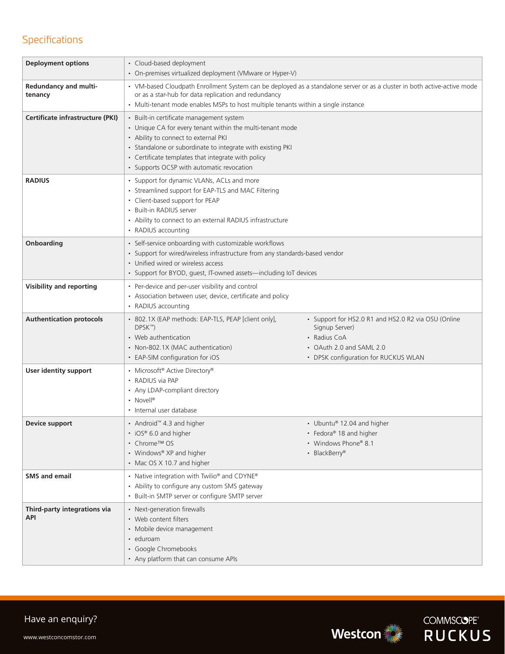# Specifications

| <b>Deployment options</b>               | • Cloud-based deployment<br>• On-premises virtualized deployment (VMware or Hyper-V)                                                                                                                                                                                                                           |                                                                                                                                                           |  |
|-----------------------------------------|----------------------------------------------------------------------------------------------------------------------------------------------------------------------------------------------------------------------------------------------------------------------------------------------------------------|-----------------------------------------------------------------------------------------------------------------------------------------------------------|--|
| <b>Redundancy and multi-</b><br>tenancy | • VM-based Cloudpath Enrollment System can be deployed as a standalone server or as a cluster in both active-active mode<br>or as a star-hub for data replication and redundancy<br>• Multi-tenant mode enables MSPs to host multiple tenants within a single instance                                         |                                                                                                                                                           |  |
| Certificate infrastructure (PKI)        | • Built-in certificate management system<br>• Unique CA for every tenant within the multi-tenant mode<br>• Ability to connect to external PKI<br>• Standalone or subordinate to integrate with existing PKI<br>• Certificate templates that integrate with policy<br>• Supports OCSP with automatic revocation |                                                                                                                                                           |  |
| <b>RADIUS</b>                           | • Support for dynamic VLANs, ACLs and more<br>• Streamlined support for EAP-TLS and MAC Filtering<br>• Client-based support for PEAP<br>• Built-in RADIUS server<br>• Ability to connect to an external RADIUS infrastructure<br>• RADIUS accounting                                                           |                                                                                                                                                           |  |
| Onboarding                              | • Self-service onboarding with customizable workflows<br>• Support for wired/wireless infrastructure from any standards-based vendor<br>• Unified wired or wireless access<br>• Support for BYOD, guest, IT-owned assets-including IoT devices                                                                 |                                                                                                                                                           |  |
| <b>Visibility and reporting</b>         | • Per-device and per-user visibility and control<br>• Association between user, device, certificate and policy<br>• RADIUS accounting                                                                                                                                                                          |                                                                                                                                                           |  |
| <b>Authentication protocols</b>         | • 802.1X (EAP methods: EAP-TLS, PEAP [client only],<br>DPSK™)<br>• Web authentication<br>• Non-802.1X (MAC authentication)<br>• EAP-SIM configuration for iOS                                                                                                                                                  | • Support for HS2.0 R1 and HS2.0 R2 via OSU (Online<br>Signup Server)<br>• Radius CoA<br>• OAuth 2.0 and SAML 2.0<br>• DPSK configuration for RUCKUS WLAN |  |
| User identity support                   | • Microsoft® Active Directory®<br>• RADIUS via PAP<br>• Any LDAP-compliant directory<br>• Novell®<br>• Internal user database                                                                                                                                                                                  |                                                                                                                                                           |  |
| Device support                          | • Android™ 4.3 and higher<br>• iOS® 6.0 and higher<br>• Chrome™ OS<br>• Windows® XP and higher<br>• Mac OS X 10.7 and higher                                                                                                                                                                                   | • Ubuntu® 12.04 and higher<br>• Fedora® 18 and higher<br>• Windows Phone® 8.1<br>• BlackBerry®                                                            |  |
| <b>SMS</b> and email                    | • Native integration with Twilio® and CDYNE®<br>• Ability to configure any custom SMS gateway<br>• Built-in SMTP server or configure SMTP server                                                                                                                                                               |                                                                                                                                                           |  |
| Third-party integrations via<br>API     | • Next-generation firewalls<br>• Web content filters<br>• Mobile device management<br>• eduroam<br>• Google Chromebooks<br>• Any platform that can consume APIs                                                                                                                                                |                                                                                                                                                           |  |